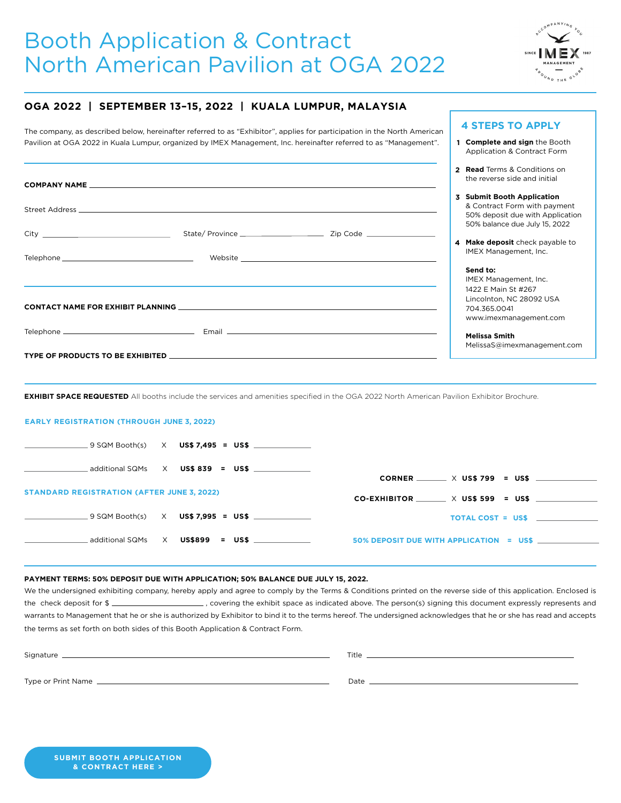# Booth Application & Contract North American Pavilion at OGA 2022



**Complete and sign** the Booth **1** Application & Contract Form

**4 STEPS TO APPLY**

### **OGA 2022 | SEPTEMBER 13–15, 2022 | KUALA LUMPUR, MALAYSIA**

The company, as described below, hereinafter referred to as "Exhibitor", applies for participation in the North American Pavilion at OGA 2022 in Kuala Lumpur, organized by IMEX Management, Inc. hereinafter referred to as "Management".

|  |                                                                                                                                                                                                                                |                             | 2 Read Terms & Conditions on<br>the reverse side and initial                                                                              |
|--|--------------------------------------------------------------------------------------------------------------------------------------------------------------------------------------------------------------------------------|-----------------------------|-------------------------------------------------------------------------------------------------------------------------------------------|
|  | Street Address and the contract of the contract of the contract of the contract of the contract of the contract of the contract of the contract of the contract of the contract of the contract of the contract of the contrac |                             | <b>Submit Booth Application</b><br>3<br>& Contract Form with payment<br>50% deposit due with Application<br>50% balance due July 15, 2022 |
|  |                                                                                                                                                                                                                                |                             | Make deposit check payable to<br>4                                                                                                        |
|  |                                                                                                                                                                                                                                | Website <b>Example 2018</b> | IMEX Management, Inc.<br>Send to:                                                                                                         |
|  |                                                                                                                                                                                                                                |                             | IMEX Management, Inc.                                                                                                                     |
|  |                                                                                                                                                                                                                                |                             | 1422 E Main St #267                                                                                                                       |
|  |                                                                                                                                                                                                                                |                             | Lincolnton, NC 28092 USA<br>704.365.0041<br>www.imexmanagement.com                                                                        |
|  |                                                                                                                                                                                                                                |                             | <b>Melissa Smith</b><br>MelissaS@imexmanagement.com                                                                                       |
|  |                                                                                                                                                                                                                                |                             |                                                                                                                                           |

**EXHIBIT SPACE REQUESTED** All booths include the services and amenities specified in the OGA 2022 North American Pavilion Exhibitor Brochure.

#### **EARLY REGISTRATION (THROUGH JUNE 3, 2022)**

|                                                   | $-9$ SQM Booth(s) $\times$ US\$ 7,495 = US\$ _____________ |                                                |
|---------------------------------------------------|------------------------------------------------------------|------------------------------------------------|
|                                                   | additional SQMs $\quad$ X $\quad$ US\$ 839 = US\$ $\quad$  | $CORNER$ $\times$ US\$ 799 = US\$              |
| <b>STANDARD REGISTRATION (AFTER JUNE 3, 2022)</b> |                                                            | $CO-EXHIBITOR$ $\times$ US\$ 599 = US\$ $\sim$ |
|                                                   |                                                            | $TOTAL COST = US$$                             |
|                                                   |                                                            |                                                |

#### **PAYMENT TERMS: 50% DEPOSIT DUE WITH APPLICATION; 50% BALANCE DUE JULY 15, 2022.**

We the undersigned exhibiting company, hereby apply and agree to comply by the Terms & Conditions printed on the reverse side of this application. Enclosed is the check deposit for \$ warrants to Management that he or she is authorized by Exhibitor to bind it to the terms hereof. The undersigned acknowledges that he or she has read and accepts the terms as set forth on both sides of this Booth Application & Contract Form.

Signature Title

Type or Print Name Date